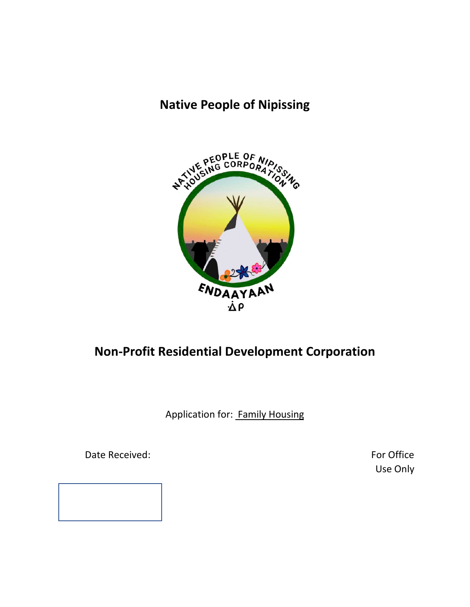# **Native People of Nipissing**



## **Non-Profit Residential Development Corporation**

Application for: Family Housing

Date Received: The Contract of the Contract of the Contract of True Contract of True Contract of True Contract of True Contract of True Contract of True Contract of True Contract of True Contract of True Contract of True C

Use Only

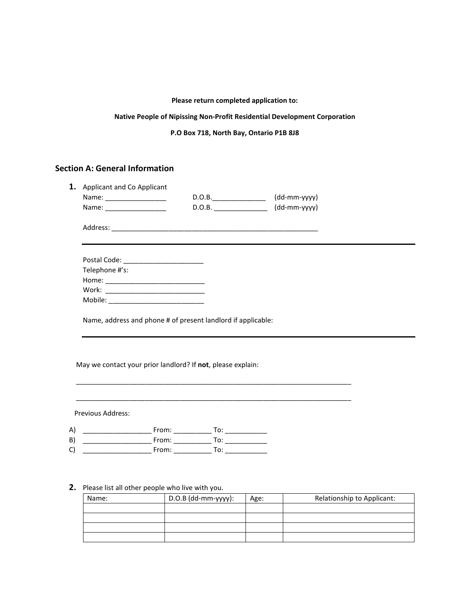### **Please return completed application to:**

**Native People of Nipissing Non-Profit Residential Development Corporation**

**P.O Box 718, North Bay, Ontario P1B 8J8**

## **Section A: General Information**

| Name: __________________ | D.O.B.                                                       | (dd-mm-yyyy)          |  |
|--------------------------|--------------------------------------------------------------|-----------------------|--|
| Name: __________________ |                                                              | $D.O.B.$ (dd-mm-yyyy) |  |
|                          |                                                              |                       |  |
|                          |                                                              |                       |  |
| Telephone #'s:           |                                                              |                       |  |
|                          |                                                              |                       |  |
|                          |                                                              |                       |  |
|                          |                                                              |                       |  |
|                          | Name, address and phone # of present landlord if applicable: |                       |  |
|                          | May we contact your prior landlord? If not, please explain:  |                       |  |
|                          |                                                              |                       |  |
| Previous Address:        |                                                              |                       |  |

## **2.** Please list all other people who live with you.

| Name: | $D.O.B$ (dd-mm-yyyy): | Age: | Relationship to Applicant: |
|-------|-----------------------|------|----------------------------|
|       |                       |      |                            |
|       |                       |      |                            |
|       |                       |      |                            |
|       |                       |      |                            |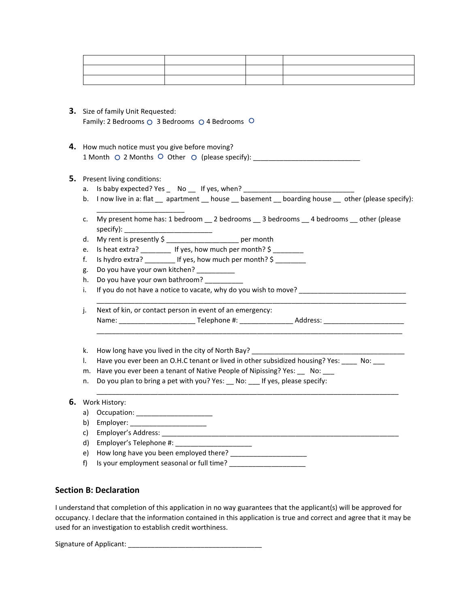|                                                                                                                                                                                                                                                                      |                                                                | 3. Size of family Unit Requested:                                                                                               |                                                                                                         |  |  |  |  |
|----------------------------------------------------------------------------------------------------------------------------------------------------------------------------------------------------------------------------------------------------------------------|----------------------------------------------------------------|---------------------------------------------------------------------------------------------------------------------------------|---------------------------------------------------------------------------------------------------------|--|--|--|--|
|                                                                                                                                                                                                                                                                      |                                                                |                                                                                                                                 | Family: 2 Bedrooms O 3 Bedrooms O 4 Bedrooms O                                                          |  |  |  |  |
|                                                                                                                                                                                                                                                                      |                                                                |                                                                                                                                 |                                                                                                         |  |  |  |  |
|                                                                                                                                                                                                                                                                      |                                                                |                                                                                                                                 |                                                                                                         |  |  |  |  |
|                                                                                                                                                                                                                                                                      |                                                                | 4. How much notice must you give before moving?                                                                                 |                                                                                                         |  |  |  |  |
|                                                                                                                                                                                                                                                                      |                                                                |                                                                                                                                 | 1 Month O 2 Months O Other O (please specify): _________________________________                        |  |  |  |  |
|                                                                                                                                                                                                                                                                      |                                                                |                                                                                                                                 |                                                                                                         |  |  |  |  |
|                                                                                                                                                                                                                                                                      |                                                                | 5. Present living conditions:                                                                                                   |                                                                                                         |  |  |  |  |
|                                                                                                                                                                                                                                                                      | а.                                                             |                                                                                                                                 |                                                                                                         |  |  |  |  |
|                                                                                                                                                                                                                                                                      |                                                                |                                                                                                                                 | b. I now live in a: flat __ apartment __ house __ basement __ boarding house __ other (please specify): |  |  |  |  |
|                                                                                                                                                                                                                                                                      |                                                                |                                                                                                                                 |                                                                                                         |  |  |  |  |
|                                                                                                                                                                                                                                                                      | c.                                                             |                                                                                                                                 | My present home has: 1 bedroom __ 2 bedrooms __ 3 bedrooms __ 4 bedrooms __ other (please               |  |  |  |  |
|                                                                                                                                                                                                                                                                      |                                                                |                                                                                                                                 |                                                                                                         |  |  |  |  |
|                                                                                                                                                                                                                                                                      | d.                                                             |                                                                                                                                 |                                                                                                         |  |  |  |  |
|                                                                                                                                                                                                                                                                      | e.                                                             | My rent is presently \$ _______________________ per month<br>Is heat extra? __________ If yes, how much per month? \$ _________ |                                                                                                         |  |  |  |  |
|                                                                                                                                                                                                                                                                      | f.                                                             | Is hydro extra? ___________ If yes, how much per month? \$                                                                      |                                                                                                         |  |  |  |  |
|                                                                                                                                                                                                                                                                      |                                                                |                                                                                                                                 |                                                                                                         |  |  |  |  |
|                                                                                                                                                                                                                                                                      | g.<br>h.                                                       | Do you have your own kitchen? _________                                                                                         |                                                                                                         |  |  |  |  |
|                                                                                                                                                                                                                                                                      |                                                                | Do you have your own bathroom? _______                                                                                          |                                                                                                         |  |  |  |  |
| If you do not have a notice to vacate, why do you wish to move?<br>i.                                                                                                                                                                                                |                                                                |                                                                                                                                 |                                                                                                         |  |  |  |  |
|                                                                                                                                                                                                                                                                      | Next of kin, or contact person in event of an emergency:<br>j. |                                                                                                                                 |                                                                                                         |  |  |  |  |
|                                                                                                                                                                                                                                                                      |                                                                |                                                                                                                                 |                                                                                                         |  |  |  |  |
|                                                                                                                                                                                                                                                                      |                                                                |                                                                                                                                 |                                                                                                         |  |  |  |  |
|                                                                                                                                                                                                                                                                      |                                                                |                                                                                                                                 |                                                                                                         |  |  |  |  |
|                                                                                                                                                                                                                                                                      | k.                                                             | How long have you lived in the city of North Bay?                                                                               |                                                                                                         |  |  |  |  |
| Have you ever been an O.H.C tenant or lived in other subsidized housing? Yes: _____ No: ___<br>I.<br>m. Have you ever been a tenant of Native People of Nipissing? Yes: _ No: _<br>Do you plan to bring a pet with you? Yes: __ No: __ If yes, please specify:<br>n. |                                                                |                                                                                                                                 |                                                                                                         |  |  |  |  |
|                                                                                                                                                                                                                                                                      |                                                                |                                                                                                                                 |                                                                                                         |  |  |  |  |
|                                                                                                                                                                                                                                                                      |                                                                |                                                                                                                                 |                                                                                                         |  |  |  |  |
|                                                                                                                                                                                                                                                                      |                                                                |                                                                                                                                 |                                                                                                         |  |  |  |  |
| 6.                                                                                                                                                                                                                                                                   |                                                                | Work History:                                                                                                                   |                                                                                                         |  |  |  |  |
|                                                                                                                                                                                                                                                                      | a)                                                             |                                                                                                                                 |                                                                                                         |  |  |  |  |
|                                                                                                                                                                                                                                                                      |                                                                | Employer: _________________________                                                                                             |                                                                                                         |  |  |  |  |
|                                                                                                                                                                                                                                                                      | b)                                                             |                                                                                                                                 |                                                                                                         |  |  |  |  |
|                                                                                                                                                                                                                                                                      | c)                                                             |                                                                                                                                 |                                                                                                         |  |  |  |  |
|                                                                                                                                                                                                                                                                      | d)                                                             |                                                                                                                                 |                                                                                                         |  |  |  |  |
|                                                                                                                                                                                                                                                                      | e)                                                             |                                                                                                                                 |                                                                                                         |  |  |  |  |
|                                                                                                                                                                                                                                                                      | f)                                                             |                                                                                                                                 |                                                                                                         |  |  |  |  |

### **Section B: Declaration**

I understand that completion of this application in no way guarantees that the applicant(s) will be approved for occupancy. I declare that the information contained in this application is true and correct and agree that it may be used for an investigation to establish credit worthiness.

Signature of Applicant: \_\_\_\_\_\_\_\_\_\_\_\_\_\_\_\_\_\_\_\_\_\_\_\_\_\_\_\_\_\_\_\_\_\_\_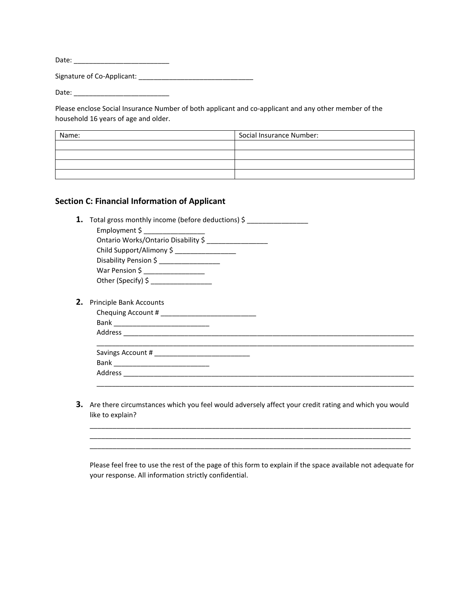Date: \_\_\_\_\_\_\_\_\_\_\_\_\_\_\_\_\_\_\_\_\_\_\_\_\_

Signature of Co-Applicant: \_\_\_\_\_\_\_\_\_\_\_\_\_\_\_\_\_\_\_\_\_\_\_\_\_\_\_\_\_\_

Date: \_\_\_\_\_\_\_\_\_\_\_\_\_\_\_\_\_\_\_\_\_\_\_\_\_

Please enclose Social Insurance Number of both applicant and co-applicant and any other member of the household 16 years of age and older.

| Name: | Social Insurance Number: |
|-------|--------------------------|
|       |                          |
|       |                          |
|       |                          |
|       |                          |

### **Section C: Financial Information of Applicant**

|    | <b>1.</b> Total gross monthly income (before deductions) $\zeta$ |
|----|------------------------------------------------------------------|
|    |                                                                  |
|    | Ontario Works/Ontario Disability \$ ____________________         |
|    | Child Support/Alimony \$                                         |
|    | Disability Pension \$                                            |
|    | War Pension \$ ___________________                               |
|    | Other (Specify) \$ ___________________                           |
| 2. | <b>Principle Bank Accounts</b>                                   |
|    |                                                                  |
|    |                                                                  |
|    |                                                                  |
|    |                                                                  |
|    |                                                                  |
|    |                                                                  |
|    |                                                                  |

**3.** Are there circumstances which you feel would adversely affect your credit rating and which you would like to explain?

Please feel free to use the rest of the page of this form to explain if the space available not adequate for your response. All information strictly confidential.

\_\_\_\_\_\_\_\_\_\_\_\_\_\_\_\_\_\_\_\_\_\_\_\_\_\_\_\_\_\_\_\_\_\_\_\_\_\_\_\_\_\_\_\_\_\_\_\_\_\_\_\_\_\_\_\_\_\_\_\_\_\_\_\_\_\_\_\_\_\_\_\_\_\_\_\_\_\_\_\_\_\_\_\_

\_\_\_\_\_\_\_\_\_\_\_\_\_\_\_\_\_\_\_\_\_\_\_\_\_\_\_\_\_\_\_\_\_\_\_\_\_\_\_\_\_\_\_\_\_\_\_\_\_\_\_\_\_\_\_\_\_\_\_\_\_\_\_\_\_\_\_\_\_\_\_\_\_\_\_\_\_\_\_\_\_\_\_\_